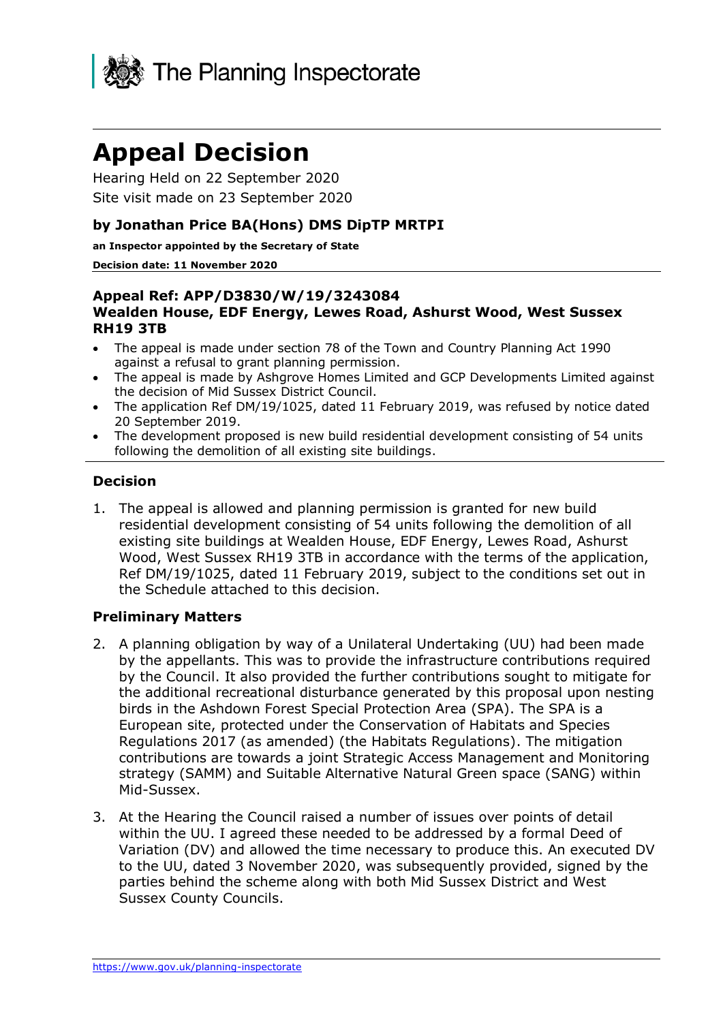

# **Appeal Decision**

Hearing Held on 22 September 2020 Site visit made on 23 September 2020

#### **by Jonathan Price BA(Hons) DMS DipTP MRTPI**

**an Inspector appointed by the Secretary of State**

#### **Decision date: 11 November 2020**

#### **Appeal Ref: APP/D3830/W/19/3243084 Wealden House, EDF Energy, Lewes Road, Ashurst Wood, West Sussex RH19 3TB**

- The appeal is made under section 78 of the Town and Country Planning Act 1990 against a refusal to grant planning permission.
- The appeal is made by Ashgrove Homes Limited and GCP Developments Limited against the decision of Mid Sussex District Council.
- The application Ref DM/19/1025, dated 11 February 2019, was refused by notice dated 20 September 2019.
- The development proposed is new build residential development consisting of 54 units following the demolition of all existing site buildings.

#### **Decision**

1. The appeal is allowed and planning permission is granted for new build residential development consisting of 54 units following the demolition of all existing site buildings at Wealden House, EDF Energy, Lewes Road, Ashurst Wood, West Sussex RH19 3TB in accordance with the terms of the application, Ref DM/19/1025, dated 11 February 2019, subject to the conditions set out in the Schedule attached to this decision.

#### **Preliminary Matters**

- 2. A planning obligation by way of a Unilateral Undertaking (UU) had been made by the appellants. This was to provide the infrastructure contributions required by the Council. It also provided the further contributions sought to mitigate for the additional recreational disturbance generated by this proposal upon nesting birds in the Ashdown Forest Special Protection Area (SPA). The SPA is a European site, protected under the Conservation of Habitats and Species Regulations 2017 (as amended) (the Habitats Regulations). The mitigation contributions are towards a joint Strategic Access Management and Monitoring strategy (SAMM) and Suitable Alternative Natural Green space (SANG) within Mid-Sussex.
- 3. At the Hearing the Council raised a number of issues over points of detail within the UU. I agreed these needed to be addressed by a formal Deed of Variation (DV) and allowed the time necessary to produce this. An executed DV to the UU, dated 3 November 2020, was subsequently provided, signed by the parties behind the scheme along with both Mid Sussex District and West Sussex County Councils.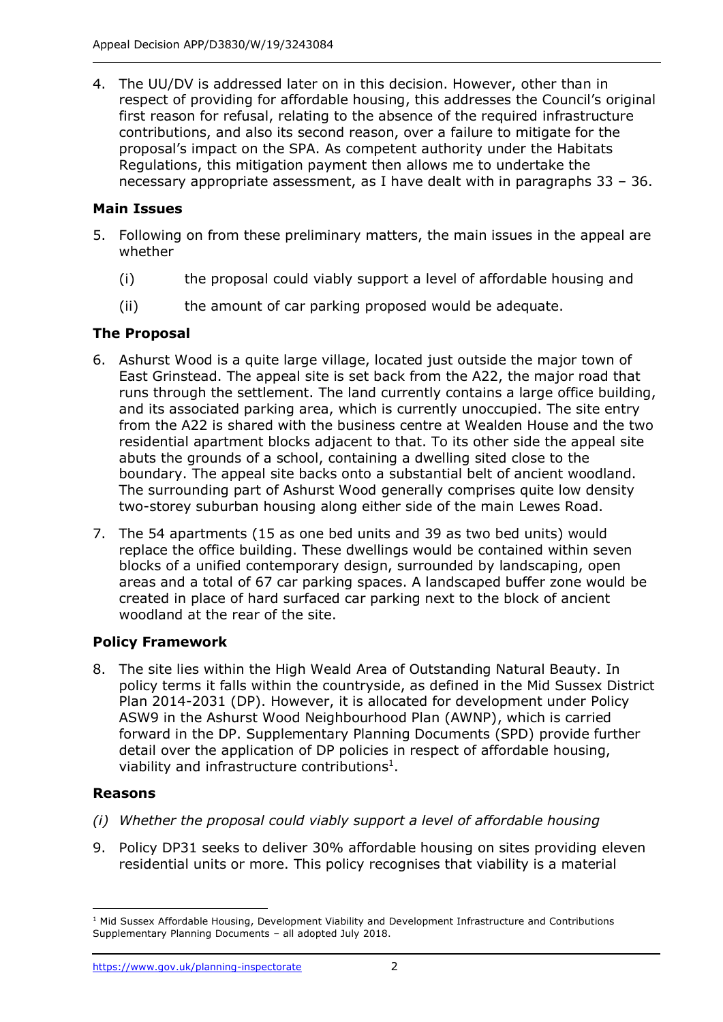4. The UU/DV is addressed later on in this decision. However, other than in respect of providing for affordable housing, this addresses the Council's original first reason for refusal, relating to the absence of the required infrastructure contributions, and also its second reason, over a failure to mitigate for the proposal's impact on the SPA. As competent authority under the Habitats Regulations, this mitigation payment then allows me to undertake the necessary appropriate assessment, as I have dealt with in paragraphs 33 – 36.

#### **Main Issues**

- 5. Following on from these preliminary matters, the main issues in the appeal are whether
	- (i) the proposal could viably support a level of affordable housing and
	- (ii) the amount of car parking proposed would be adequate.

#### **The Proposal**

- 6. Ashurst Wood is a quite large village, located just outside the major town of East Grinstead. The appeal site is set back from the A22, the major road that runs through the settlement. The land currently contains a large office building, and its associated parking area, which is currently unoccupied. The site entry from the A22 is shared with the business centre at Wealden House and the two residential apartment blocks adjacent to that. To its other side the appeal site abuts the grounds of a school, containing a dwelling sited close to the boundary. The appeal site backs onto a substantial belt of ancient woodland. The surrounding part of Ashurst Wood generally comprises quite low density two-storey suburban housing along either side of the main Lewes Road.
- 7. The 54 apartments (15 as one bed units and 39 as two bed units) would replace the office building. These dwellings would be contained within seven blocks of a unified contemporary design, surrounded by landscaping, open areas and a total of 67 car parking spaces. A landscaped buffer zone would be created in place of hard surfaced car parking next to the block of ancient woodland at the rear of the site.

#### **Policy Framework**

8. The site lies within the High Weald Area of Outstanding Natural Beauty. In policy terms it falls within the countryside, as defined in the Mid Sussex District Plan 2014-2031 (DP). However, it is allocated for development under Policy ASW9 in the Ashurst Wood Neighbourhood Plan (AWNP), which is carried forward in the DP. Supplementary Planning Documents (SPD) provide further detail over the application of DP policies in respect of affordable housing, viability and infrastructure contributions<sup>1</sup>.

#### **Reasons**

- *(i) Whether the proposal could viably support a level of affordable housing*
- 9. Policy DP31 seeks to deliver 30% affordable housing on sites providing eleven residential units or more. This policy recognises that viability is a material

<sup>&</sup>lt;sup>1</sup> Mid Sussex Affordable Housing, Development Viability and Development Infrastructure and Contributions Supplementary Planning Documents – all adopted July 2018.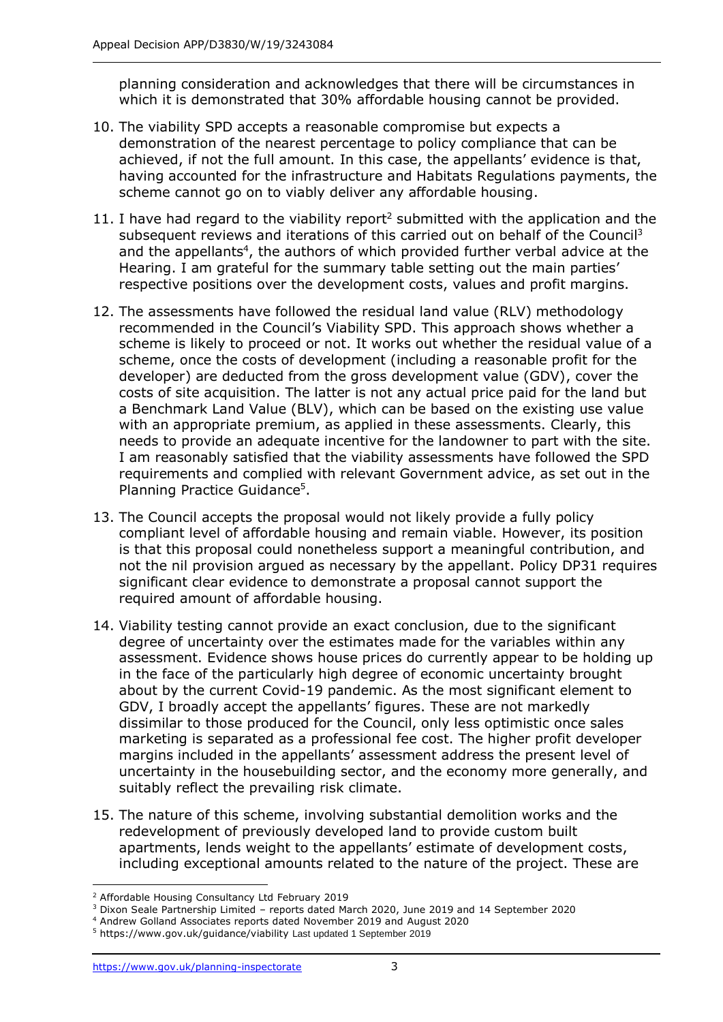planning consideration and acknowledges that there will be circumstances in which it is demonstrated that 30% affordable housing cannot be provided.

- 10. The viability SPD accepts a reasonable compromise but expects a demonstration of the nearest percentage to policy compliance that can be achieved, if not the full amount. In this case, the appellants' evidence is that, having accounted for the infrastructure and Habitats Regulations payments, the scheme cannot go on to viably deliver any affordable housing.
- 11. I have had regard to the viability report<sup>2</sup> submitted with the application and the subsequent reviews and iterations of this carried out on behalf of the Council<sup>3</sup> and the appellants<sup>4</sup>, the authors of which provided further verbal advice at the Hearing. I am grateful for the summary table setting out the main parties' respective positions over the development costs, values and profit margins.
- 12. The assessments have followed the residual land value (RLV) methodology recommended in the Council's Viability SPD. This approach shows whether a scheme is likely to proceed or not. It works out whether the residual value of a scheme, once the costs of development (including a reasonable profit for the developer) are deducted from the gross development value (GDV), cover the costs of site acquisition. The latter is not any actual price paid for the land but a Benchmark Land Value (BLV), which can be based on the existing use value with an appropriate premium, as applied in these assessments. Clearly, this needs to provide an adequate incentive for the landowner to part with the site. I am reasonably satisfied that the viability assessments have followed the SPD requirements and complied with relevant Government advice, as set out in the Planning Practice Guidance<sup>5</sup>.
- 13. The Council accepts the proposal would not likely provide a fully policy compliant level of affordable housing and remain viable. However, its position is that this proposal could nonetheless support a meaningful contribution, and not the nil provision argued as necessary by the appellant. Policy DP31 requires significant clear evidence to demonstrate a proposal cannot support the required amount of affordable housing.
- 14. Viability testing cannot provide an exact conclusion, due to the significant degree of uncertainty over the estimates made for the variables within any assessment. Evidence shows house prices do currently appear to be holding up in the face of the particularly high degree of economic uncertainty brought about by the current Covid-19 pandemic. As the most significant element to GDV, I broadly accept the appellants' figures. These are not markedly dissimilar to those produced for the Council, only less optimistic once sales marketing is separated as a professional fee cost. The higher profit developer margins included in the appellants' assessment address the present level of uncertainty in the housebuilding sector, and the economy more generally, and suitably reflect the prevailing risk climate.
- 15. The nature of this scheme, involving substantial demolition works and the redevelopment of previously developed land to provide custom built apartments, lends weight to the appellants' estimate of development costs, including exceptional amounts related to the nature of the project. These are

<sup>2</sup> Affordable Housing Consultancy Ltd February 2019

<sup>3</sup> Dixon Seale Partnership Limited – reports dated March 2020, June 2019 and 14 September 2020

<sup>4</sup> Andrew Golland Associates reports dated November 2019 and August 2020

<sup>5</sup> https://www.gov.uk/guidance/viability Last updated 1 September 2019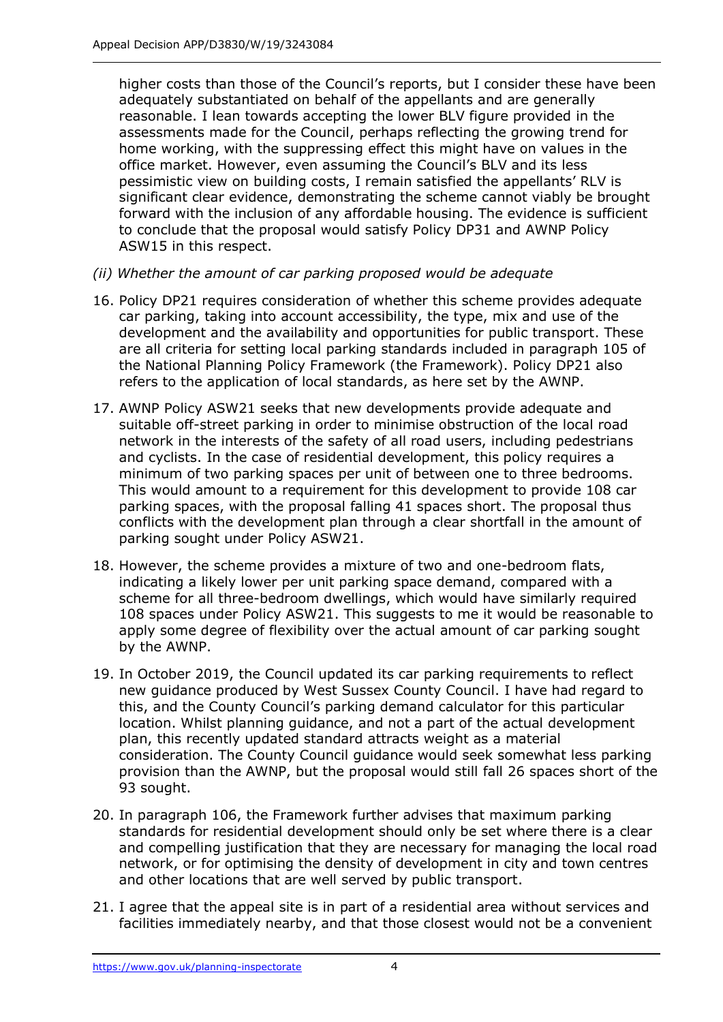higher costs than those of the Council's reports, but I consider these have been adequately substantiated on behalf of the appellants and are generally reasonable. I lean towards accepting the lower BLV figure provided in the assessments made for the Council, perhaps reflecting the growing trend for home working, with the suppressing effect this might have on values in the office market. However, even assuming the Council's BLV and its less pessimistic view on building costs, I remain satisfied the appellants' RLV is significant clear evidence, demonstrating the scheme cannot viably be brought forward with the inclusion of any affordable housing. The evidence is sufficient to conclude that the proposal would satisfy Policy DP31 and AWNP Policy ASW15 in this respect.

- *(ii) Whether the amount of car parking proposed would be adequate*
- 16. Policy DP21 requires consideration of whether this scheme provides adequate car parking, taking into account accessibility, the type, mix and use of the development and the availability and opportunities for public transport. These are all criteria for setting local parking standards included in paragraph 105 of the National Planning Policy Framework (the Framework). Policy DP21 also refers to the application of local standards, as here set by the AWNP.
- 17. AWNP Policy ASW21 seeks that new developments provide adequate and suitable off-street parking in order to minimise obstruction of the local road network in the interests of the safety of all road users, including pedestrians and cyclists. In the case of residential development, this policy requires a minimum of two parking spaces per unit of between one to three bedrooms. This would amount to a requirement for this development to provide 108 car parking spaces, with the proposal falling 41 spaces short. The proposal thus conflicts with the development plan through a clear shortfall in the amount of parking sought under Policy ASW21.
- 18. However, the scheme provides a mixture of two and one-bedroom flats, indicating a likely lower per unit parking space demand, compared with a scheme for all three-bedroom dwellings, which would have similarly required 108 spaces under Policy ASW21. This suggests to me it would be reasonable to apply some degree of flexibility over the actual amount of car parking sought by the AWNP.
- 19. In October 2019, the Council updated its car parking requirements to reflect new guidance produced by West Sussex County Council. I have had regard to this, and the County Council's parking demand calculator for this particular location. Whilst planning guidance, and not a part of the actual development plan, this recently updated standard attracts weight as a material consideration. The County Council guidance would seek somewhat less parking provision than the AWNP, but the proposal would still fall 26 spaces short of the 93 sought.
- 20. In paragraph 106, the Framework further advises that maximum parking standards for residential development should only be set where there is a clear and compelling justification that they are necessary for managing the local road network, or for optimising the density of development in city and town centres and other locations that are well served by public transport.
- 21. I agree that the appeal site is in part of a residential area without services and facilities immediately nearby, and that those closest would not be a convenient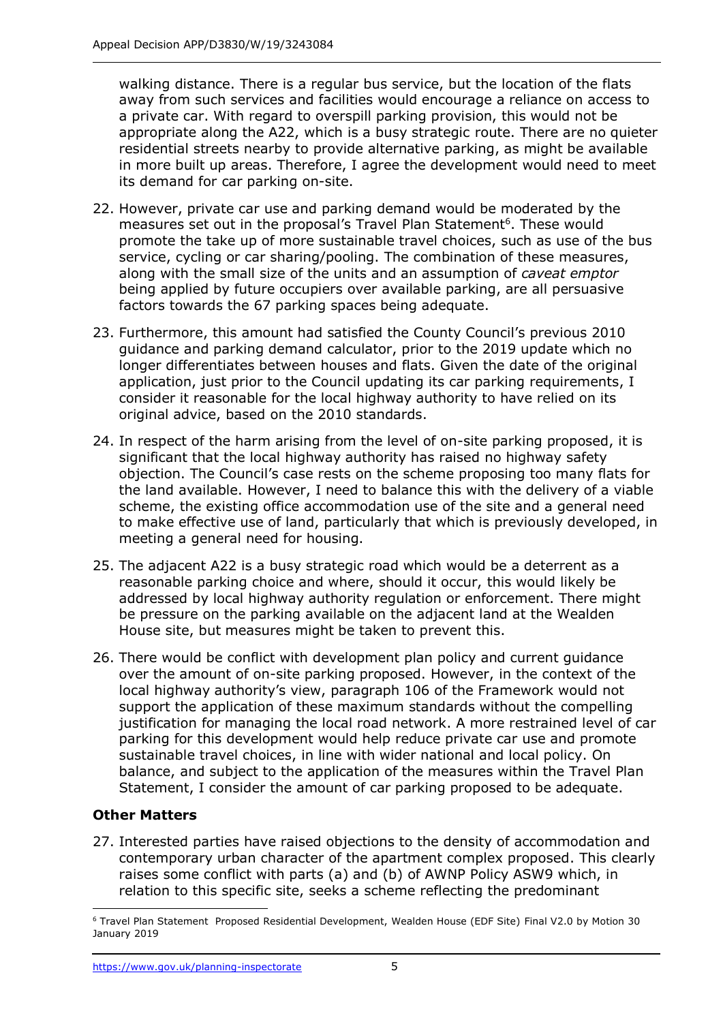walking distance. There is a regular bus service, but the location of the flats away from such services and facilities would encourage a reliance on access to a private car. With regard to overspill parking provision, this would not be appropriate along the A22, which is a busy strategic route. There are no quieter residential streets nearby to provide alternative parking, as might be available in more built up areas. Therefore, I agree the development would need to meet its demand for car parking on-site.

- 22. However, private car use and parking demand would be moderated by the measures set out in the proposal's Travel Plan Statement<sup>6</sup>. These would promote the take up of more sustainable travel choices, such as use of the bus service, cycling or car sharing/pooling. The combination of these measures, along with the small size of the units and an assumption of *caveat emptor*  being applied by future occupiers over available parking, are all persuasive factors towards the 67 parking spaces being adequate.
- 23. Furthermore, this amount had satisfied the County Council's previous 2010 guidance and parking demand calculator, prior to the 2019 update which no longer differentiates between houses and flats. Given the date of the original application, just prior to the Council updating its car parking requirements, I consider it reasonable for the local highway authority to have relied on its original advice, based on the 2010 standards.
- 24. In respect of the harm arising from the level of on-site parking proposed, it is significant that the local highway authority has raised no highway safety objection. The Council's case rests on the scheme proposing too many flats for the land available. However, I need to balance this with the delivery of a viable scheme, the existing office accommodation use of the site and a general need to make effective use of land, particularly that which is previously developed, in meeting a general need for housing.
- 25. The adjacent A22 is a busy strategic road which would be a deterrent as a reasonable parking choice and where, should it occur, this would likely be addressed by local highway authority regulation or enforcement. There might be pressure on the parking available on the adjacent land at the Wealden House site, but measures might be taken to prevent this.
- 26. There would be conflict with development plan policy and current guidance over the amount of on-site parking proposed. However, in the context of the local highway authority's view, paragraph 106 of the Framework would not support the application of these maximum standards without the compelling justification for managing the local road network. A more restrained level of car parking for this development would help reduce private car use and promote sustainable travel choices, in line with wider national and local policy. On balance, and subject to the application of the measures within the Travel Plan Statement, I consider the amount of car parking proposed to be adequate.

#### **Other Matters**

27. Interested parties have raised objections to the density of accommodation and contemporary urban character of the apartment complex proposed. This clearly raises some conflict with parts (a) and (b) of AWNP Policy ASW9 which, in relation to this specific site, seeks a scheme reflecting the predominant

<sup>6</sup> Travel Plan Statement Proposed Residential Development, Wealden House (EDF Site) Final V2.0 by Motion 30 January 2019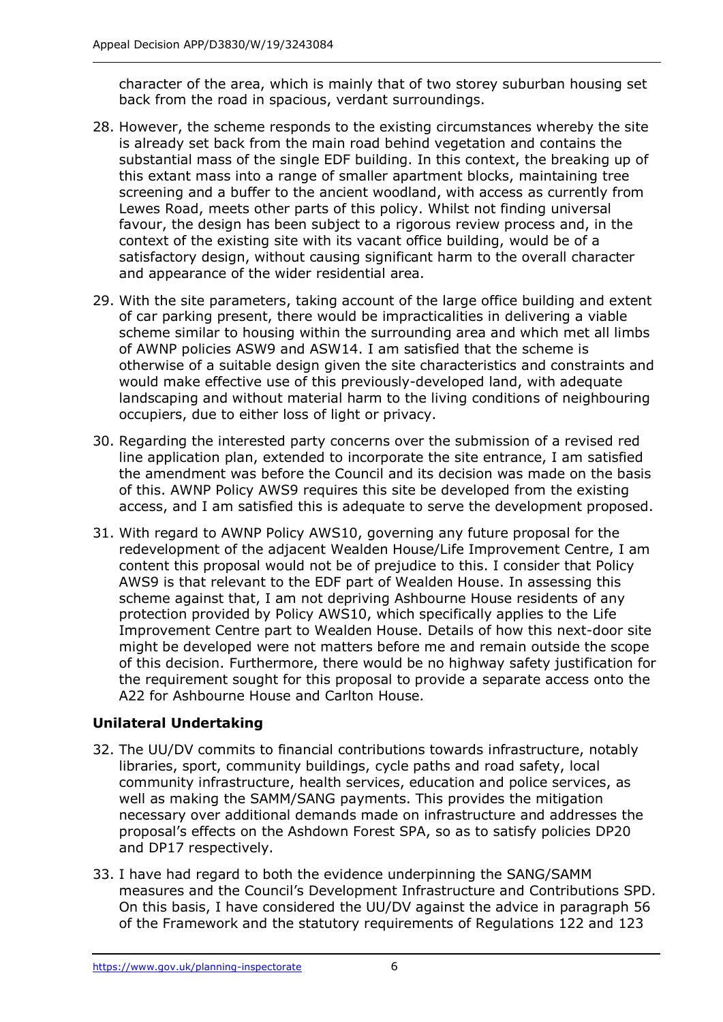character of the area, which is mainly that of two storey suburban housing set back from the road in spacious, verdant surroundings.

- 28. However, the scheme responds to the existing circumstances whereby the site is already set back from the main road behind vegetation and contains the substantial mass of the single EDF building. In this context, the breaking up of this extant mass into a range of smaller apartment blocks, maintaining tree screening and a buffer to the ancient woodland, with access as currently from Lewes Road, meets other parts of this policy. Whilst not finding universal favour, the design has been subject to a rigorous review process and, in the context of the existing site with its vacant office building, would be of a satisfactory design, without causing significant harm to the overall character and appearance of the wider residential area.
- 29. With the site parameters, taking account of the large office building and extent of car parking present, there would be impracticalities in delivering a viable scheme similar to housing within the surrounding area and which met all limbs of AWNP policies ASW9 and ASW14. I am satisfied that the scheme is otherwise of a suitable design given the site characteristics and constraints and would make effective use of this previously-developed land, with adequate landscaping and without material harm to the living conditions of neighbouring occupiers, due to either loss of light or privacy.
- 30. Regarding the interested party concerns over the submission of a revised red line application plan, extended to incorporate the site entrance, I am satisfied the amendment was before the Council and its decision was made on the basis of this. AWNP Policy AWS9 requires this site be developed from the existing access, and I am satisfied this is adequate to serve the development proposed.
- 31. With regard to AWNP Policy AWS10, governing any future proposal for the redevelopment of the adjacent Wealden House/Life Improvement Centre, I am content this proposal would not be of prejudice to this. I consider that Policy AWS9 is that relevant to the EDF part of Wealden House. In assessing this scheme against that, I am not depriving Ashbourne House residents of any protection provided by Policy AWS10, which specifically applies to the Life Improvement Centre part to Wealden House. Details of how this next-door site might be developed were not matters before me and remain outside the scope of this decision. Furthermore, there would be no highway safety justification for the requirement sought for this proposal to provide a separate access onto the A22 for Ashbourne House and Carlton House.

### **Unilateral Undertaking**

- 32. The UU/DV commits to financial contributions towards infrastructure, notably libraries, sport, community buildings, cycle paths and road safety, local community infrastructure, health services, education and police services, as well as making the SAMM/SANG payments. This provides the mitigation necessary over additional demands made on infrastructure and addresses the proposal's effects on the Ashdown Forest SPA, so as to satisfy policies DP20 and DP17 respectively.
- 33. I have had regard to both the evidence underpinning the SANG/SAMM measures and the Council's Development Infrastructure and Contributions SPD. On this basis, I have considered the UU/DV against the advice in paragraph 56 of the Framework and the statutory requirements of Regulations 122 and 123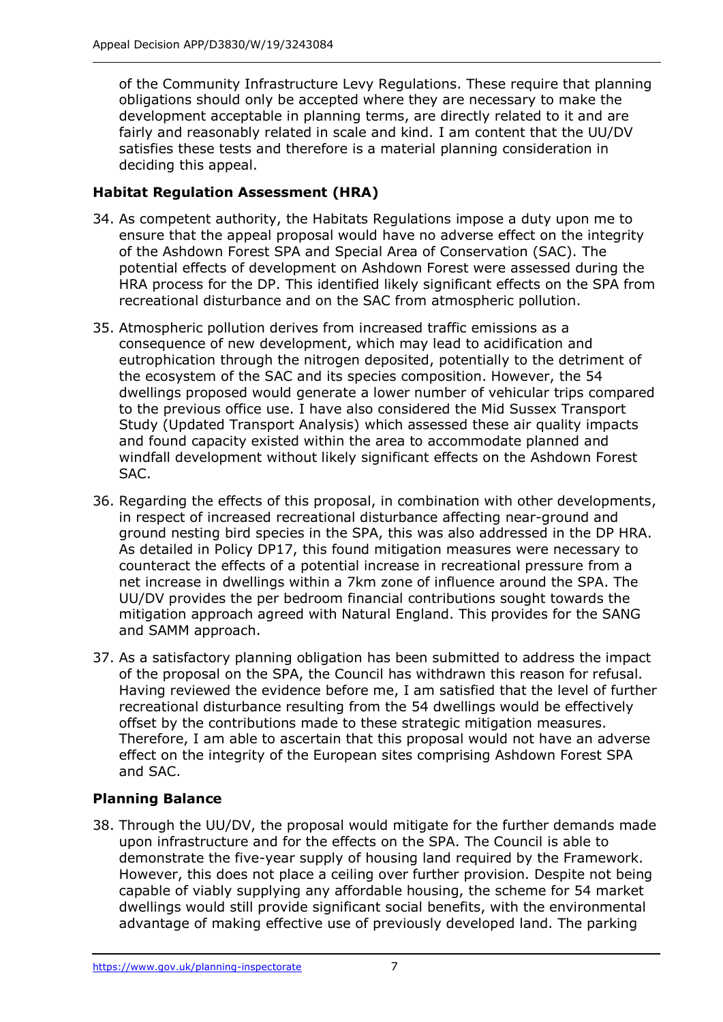of the Community Infrastructure Levy Regulations. These require that planning obligations should only be accepted where they are necessary to make the development acceptable in planning terms, are directly related to it and are fairly and reasonably related in scale and kind. I am content that the UU/DV satisfies these tests and therefore is a material planning consideration in deciding this appeal.

#### **Habitat Regulation Assessment (HRA)**

- 34. As competent authority, the Habitats Regulations impose a duty upon me to ensure that the appeal proposal would have no adverse effect on the integrity of the Ashdown Forest SPA and Special Area of Conservation (SAC). The potential effects of development on Ashdown Forest were assessed during the HRA process for the DP. This identified likely significant effects on the SPA from recreational disturbance and on the SAC from atmospheric pollution.
- 35. Atmospheric pollution derives from increased traffic emissions as a consequence of new development, which may lead to acidification and eutrophication through the nitrogen deposited, potentially to the detriment of the ecosystem of the SAC and its species composition. However, the 54 dwellings proposed would generate a lower number of vehicular trips compared to the previous office use. I have also considered the Mid Sussex Transport Study (Updated Transport Analysis) which assessed these air quality impacts and found capacity existed within the area to accommodate planned and windfall development without likely significant effects on the Ashdown Forest SAC.
- 36. Regarding the effects of this proposal, in combination with other developments, in respect of increased recreational disturbance affecting near-ground and ground nesting bird species in the SPA, this was also addressed in the DP HRA. As detailed in Policy DP17, this found mitigation measures were necessary to counteract the effects of a potential increase in recreational pressure from a net increase in dwellings within a 7km zone of influence around the SPA. The UU/DV provides the per bedroom financial contributions sought towards the mitigation approach agreed with Natural England. This provides for the SANG and SAMM approach.
- 37. As a satisfactory planning obligation has been submitted to address the impact of the proposal on the SPA, the Council has withdrawn this reason for refusal. Having reviewed the evidence before me, I am satisfied that the level of further recreational disturbance resulting from the 54 dwellings would be effectively offset by the contributions made to these strategic mitigation measures. Therefore, I am able to ascertain that this proposal would not have an adverse effect on the integrity of the European sites comprising Ashdown Forest SPA and SAC.

### **Planning Balance**

38. Through the UU/DV, the proposal would mitigate for the further demands made upon infrastructure and for the effects on the SPA. The Council is able to demonstrate the five-year supply of housing land required by the Framework. However, this does not place a ceiling over further provision. Despite not being capable of viably supplying any affordable housing, the scheme for 54 market dwellings would still provide significant social benefits, with the environmental advantage of making effective use of previously developed land. The parking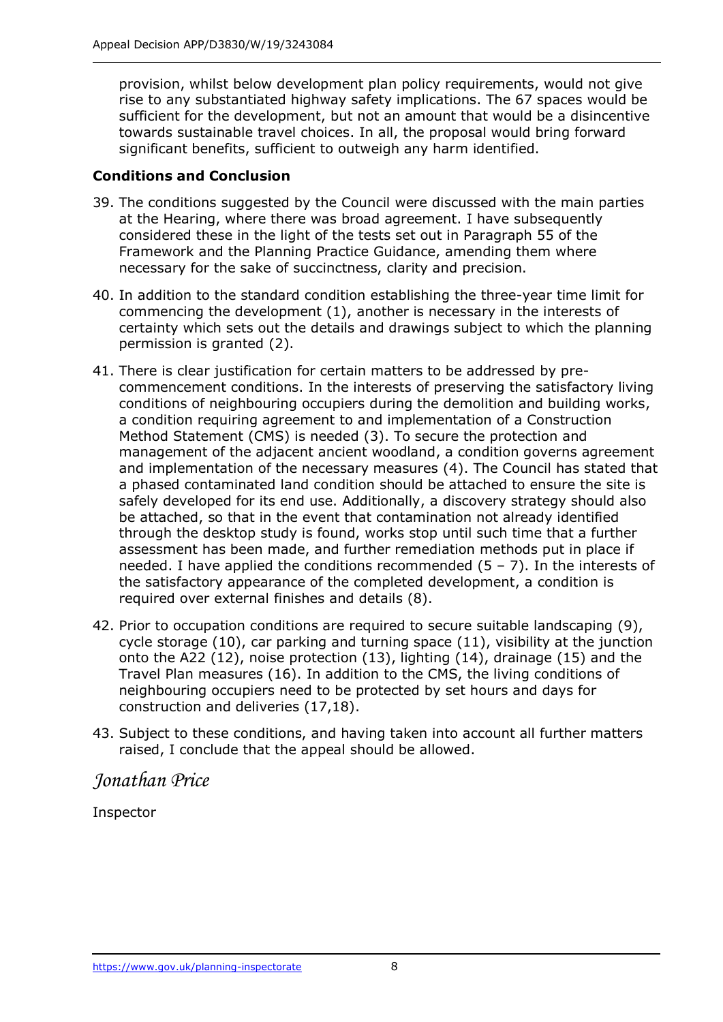provision, whilst below development plan policy requirements, would not give rise to any substantiated highway safety implications. The 67 spaces would be sufficient for the development, but not an amount that would be a disincentive towards sustainable travel choices. In all, the proposal would bring forward significant benefits, sufficient to outweigh any harm identified.

#### **Conditions and Conclusion**

- 39. The conditions suggested by the Council were discussed with the main parties at the Hearing, where there was broad agreement. I have subsequently considered these in the light of the tests set out in Paragraph 55 of the Framework and the Planning Practice Guidance, amending them where necessary for the sake of succinctness, clarity and precision.
- 40. In addition to the standard condition establishing the three-year time limit for commencing the development (1), another is necessary in the interests of certainty which sets out the details and drawings subject to which the planning permission is granted (2).
- 41. There is clear justification for certain matters to be addressed by precommencement conditions. In the interests of preserving the satisfactory living conditions of neighbouring occupiers during the demolition and building works, a condition requiring agreement to and implementation of a Construction Method Statement (CMS) is needed (3). To secure the protection and management of the adjacent ancient woodland, a condition governs agreement and implementation of the necessary measures (4). The Council has stated that a phased contaminated land condition should be attached to ensure the site is safely developed for its end use. Additionally, a discovery strategy should also be attached, so that in the event that contamination not already identified through the desktop study is found, works stop until such time that a further assessment has been made, and further remediation methods put in place if needed. I have applied the conditions recommended  $(5 - 7)$ . In the interests of the satisfactory appearance of the completed development, a condition is required over external finishes and details (8).
- 42. Prior to occupation conditions are required to secure suitable landscaping (9), cycle storage (10), car parking and turning space (11), visibility at the junction onto the A22 (12), noise protection (13), lighting (14), drainage (15) and the Travel Plan measures (16). In addition to the CMS, the living conditions of neighbouring occupiers need to be protected by set hours and days for construction and deliveries (17,18).
- 43. Subject to these conditions, and having taken into account all further matters raised, I conclude that the appeal should be allowed.

## *Jonathan Price*

Inspector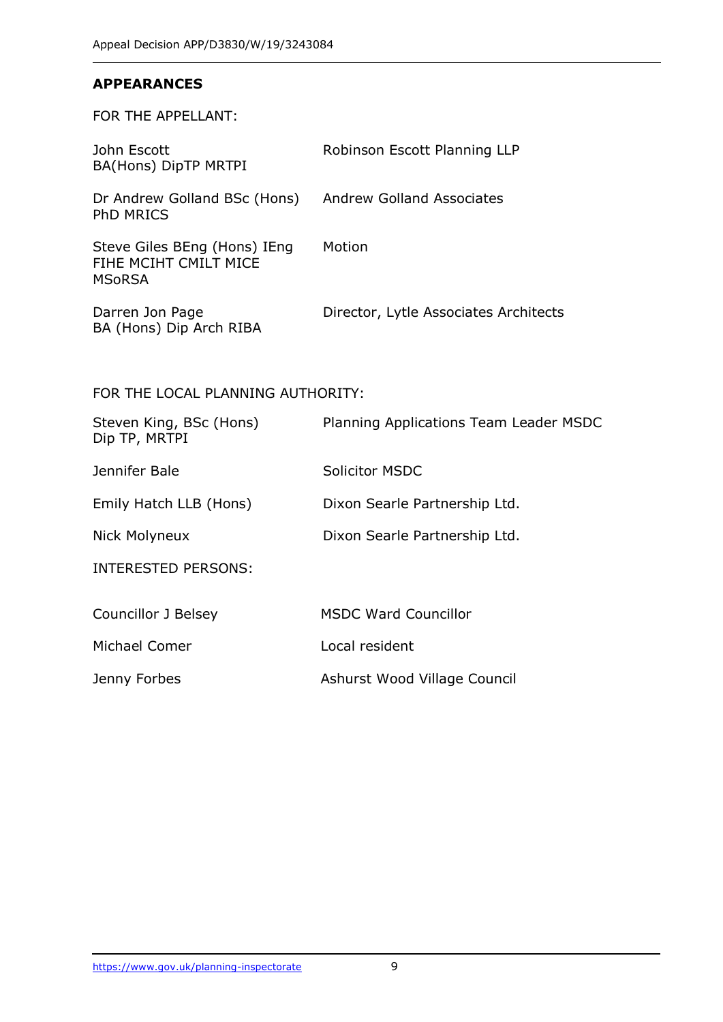#### **APPEARANCES**

FOR THE APPELLANT:

| John Escott<br>BA(Hons) DipTP MRTPI                             | Robinson Escott Planning LLP          |
|-----------------------------------------------------------------|---------------------------------------|
| Dr Andrew Golland BSc (Hons)<br><b>PhD MRICS</b>                | <b>Andrew Golland Associates</b>      |
| Steve Giles BEng (Hons) IEng<br>FIHE MCIHT CMILT MICE<br>MSoRSA | Motion                                |
| Darren Jon Page<br>BA (Hons) Dip Arch RIBA                      | Director, Lytle Associates Architects |

#### FOR THE LOCAL PLANNING AUTHORITY:

| Steven King, BSc (Hons)<br>Dip TP, MRTPI | Planning Applications Team Leader MSDC |
|------------------------------------------|----------------------------------------|
| Jennifer Bale                            | Solicitor MSDC                         |
| Emily Hatch LLB (Hons)                   | Dixon Searle Partnership Ltd.          |
| Nick Molyneux                            | Dixon Searle Partnership Ltd.          |
| INTERESTED PERSONS:                      |                                        |
| Councillor J Belsey                      | <b>MSDC Ward Councillor</b>            |
| Michael Comer                            | Local resident                         |
| Jenny Forbes                             | Ashurst Wood Village Council           |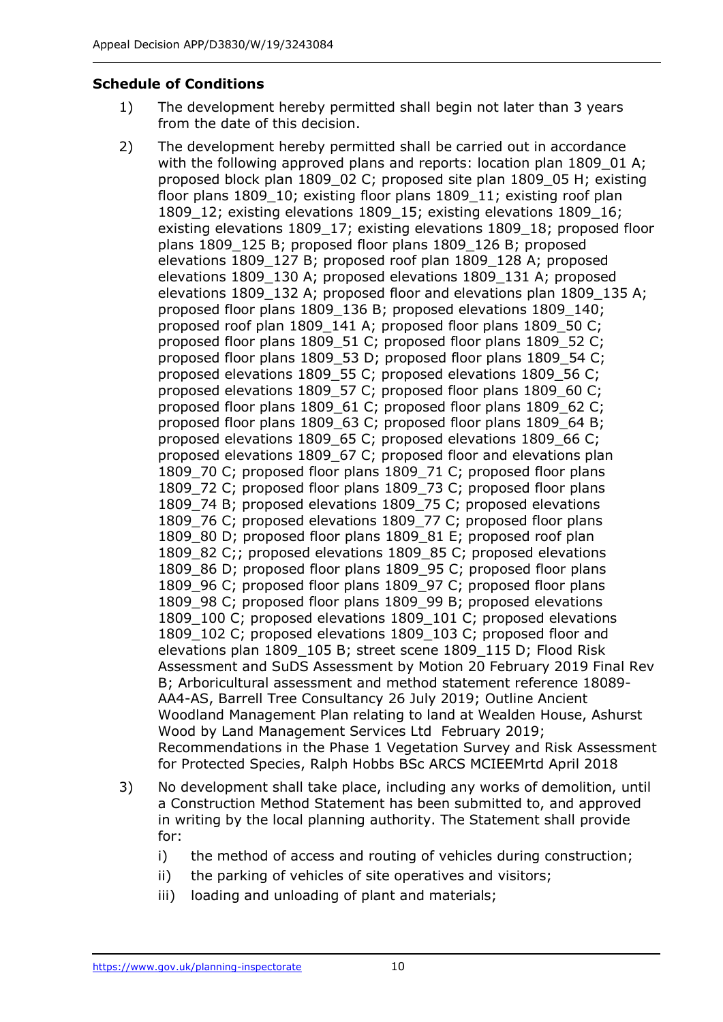#### **Schedule of Conditions**

- 1) The development hereby permitted shall begin not later than 3 years from the date of this decision.
- 2) The development hereby permitted shall be carried out in accordance with the following approved plans and reports: location plan 1809 01 A; proposed block plan 1809\_02 C; proposed site plan 1809\_05 H; existing floor plans 1809 10; existing floor plans 1809 11; existing roof plan 1809\_12; existing elevations 1809\_15; existing elevations 1809\_16; existing elevations 1809\_17; existing elevations 1809\_18; proposed floor plans 1809\_125 B; proposed floor plans 1809\_126 B; proposed elevations 1809\_127 B; proposed roof plan 1809\_128 A; proposed elevations 1809\_130 A; proposed elevations 1809\_131 A; proposed elevations 1809\_132 A; proposed floor and elevations plan 1809\_135 A; proposed floor plans 1809\_136 B; proposed elevations 1809\_140; proposed roof plan 1809 141 A; proposed floor plans 1809 50 C; proposed floor plans 1809\_51 C; proposed floor plans 1809\_52 C; proposed floor plans 1809\_53 D; proposed floor plans 1809\_54 C; proposed elevations 1809\_55 C; proposed elevations 1809\_56 C; proposed elevations 1809\_57 C; proposed floor plans 1809\_60 C; proposed floor plans 1809 61 C; proposed floor plans 1809 62 C; proposed floor plans 1809\_63 C; proposed floor plans 1809\_64 B; proposed elevations 1809\_65 C; proposed elevations 1809\_66 C; proposed elevations 1809\_67 C; proposed floor and elevations plan 1809 70 C; proposed floor plans 1809 71 C; proposed floor plans 1809\_72 C; proposed floor plans 1809\_73 C; proposed floor plans 1809 74 B; proposed elevations 1809 75 C; proposed elevations 1809 76 C; proposed elevations 1809 77 C; proposed floor plans 1809\_80 D; proposed floor plans 1809\_81 E; proposed roof plan 1809 82 C;; proposed elevations 1809 85 C; proposed elevations 1809\_86 D; proposed floor plans 1809\_95 C; proposed floor plans 1809 96 C; proposed floor plans 1809 97 C; proposed floor plans 1809\_98 C; proposed floor plans 1809\_99 B; proposed elevations 1809 100 C; proposed elevations 1809 101 C; proposed elevations 1809 102 C; proposed elevations 1809\_103 C; proposed floor and elevations plan 1809\_105 B; street scene 1809\_115 D; Flood Risk Assessment and SuDS Assessment by Motion 20 February 2019 Final Rev B; Arboricultural assessment and method statement reference 18089- AA4-AS, Barrell Tree Consultancy 26 July 2019; Outline Ancient Woodland Management Plan relating to land at Wealden House, Ashurst Wood by Land Management Services Ltd February 2019; Recommendations in the Phase 1 Vegetation Survey and Risk Assessment for Protected Species, Ralph Hobbs BSc ARCS MCIEEMrtd April 2018
- 3) No development shall take place, including any works of demolition, until a Construction Method Statement has been submitted to, and approved in writing by the local planning authority. The Statement shall provide for:
	- i) the method of access and routing of vehicles during construction;
	- ii) the parking of vehicles of site operatives and visitors;
	- iii) loading and unloading of plant and materials;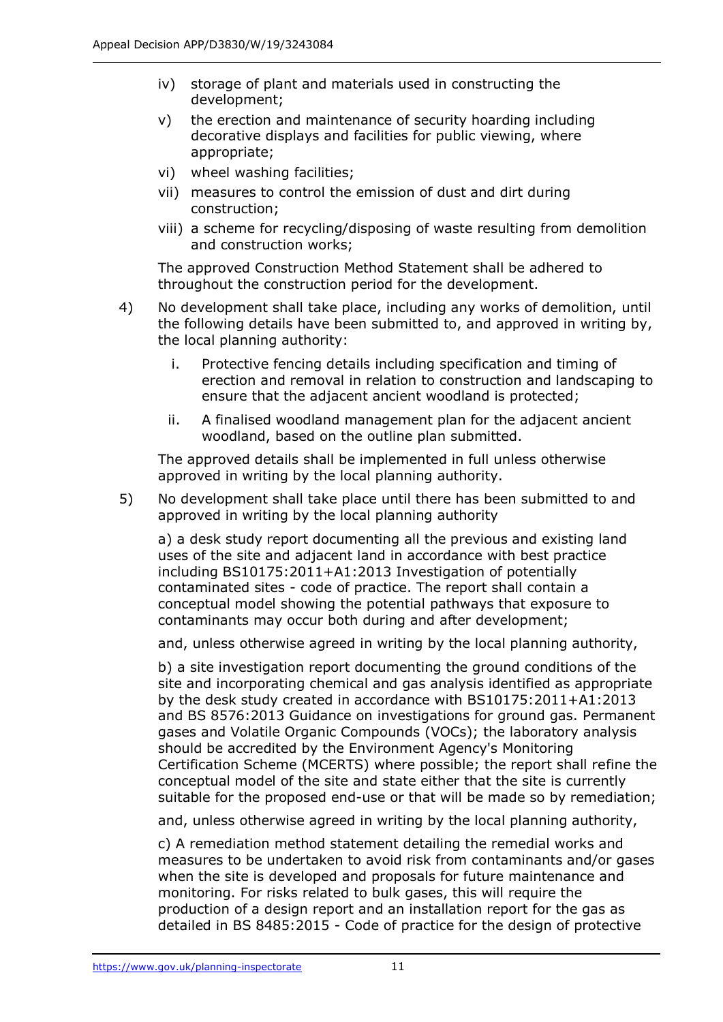- iv) storage of plant and materials used in constructing the development;
- v) the erection and maintenance of security hoarding including decorative displays and facilities for public viewing, where appropriate;
- vi) wheel washing facilities;
- vii) measures to control the emission of dust and dirt during construction;
- viii) a scheme for recycling/disposing of waste resulting from demolition and construction works;

The approved Construction Method Statement shall be adhered to throughout the construction period for the development.

- 4) No development shall take place, including any works of demolition, until the following details have been submitted to, and approved in writing by, the local planning authority:
	- i. Protective fencing details including specification and timing of erection and removal in relation to construction and landscaping to ensure that the adjacent ancient woodland is protected;
	- ii. A finalised woodland management plan for the adjacent ancient woodland, based on the outline plan submitted.

The approved details shall be implemented in full unless otherwise approved in writing by the local planning authority.

5) No development shall take place until there has been submitted to and approved in writing by the local planning authority

a) a desk study report documenting all the previous and existing land uses of the site and adjacent land in accordance with best practice including BS10175:2011+A1:2013 Investigation of potentially contaminated sites - code of practice. The report shall contain a conceptual model showing the potential pathways that exposure to contaminants may occur both during and after development;

and, unless otherwise agreed in writing by the local planning authority,

b) a site investigation report documenting the ground conditions of the site and incorporating chemical and gas analysis identified as appropriate by the desk study created in accordance with BS10175:2011+A1:2013 and BS 8576:2013 Guidance on investigations for ground gas. Permanent gases and Volatile Organic Compounds (VOCs); the laboratory analysis should be accredited by the Environment Agency's Monitoring Certification Scheme (MCERTS) where possible; the report shall refine the conceptual model of the site and state either that the site is currently suitable for the proposed end-use or that will be made so by remediation;

and, unless otherwise agreed in writing by the local planning authority,

c) A remediation method statement detailing the remedial works and measures to be undertaken to avoid risk from contaminants and/or gases when the site is developed and proposals for future maintenance and monitoring. For risks related to bulk gases, this will require the production of a design report and an installation report for the gas as detailed in BS 8485:2015 - Code of practice for the design of protective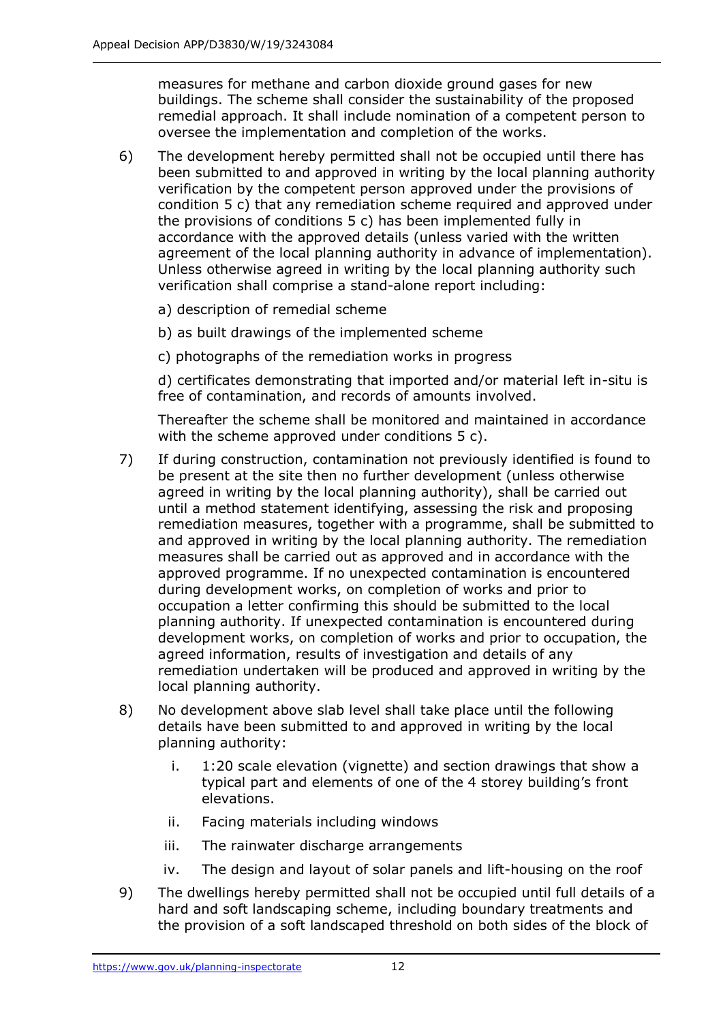measures for methane and carbon dioxide ground gases for new buildings. The scheme shall consider the sustainability of the proposed remedial approach. It shall include nomination of a competent person to oversee the implementation and completion of the works.

- 6) The development hereby permitted shall not be occupied until there has been submitted to and approved in writing by the local planning authority verification by the competent person approved under the provisions of condition 5 c) that any remediation scheme required and approved under the provisions of conditions 5 c) has been implemented fully in accordance with the approved details (unless varied with the written agreement of the local planning authority in advance of implementation). Unless otherwise agreed in writing by the local planning authority such verification shall comprise a stand-alone report including:
	- a) description of remedial scheme
	- b) as built drawings of the implemented scheme
	- c) photographs of the remediation works in progress

d) certificates demonstrating that imported and/or material left in-situ is free of contamination, and records of amounts involved.

Thereafter the scheme shall be monitored and maintained in accordance with the scheme approved under conditions 5 c).

- 7) If during construction, contamination not previously identified is found to be present at the site then no further development (unless otherwise agreed in writing by the local planning authority), shall be carried out until a method statement identifying, assessing the risk and proposing remediation measures, together with a programme, shall be submitted to and approved in writing by the local planning authority. The remediation measures shall be carried out as approved and in accordance with the approved programme. If no unexpected contamination is encountered during development works, on completion of works and prior to occupation a letter confirming this should be submitted to the local planning authority. If unexpected contamination is encountered during development works, on completion of works and prior to occupation, the agreed information, results of investigation and details of any remediation undertaken will be produced and approved in writing by the local planning authority.
- 8) No development above slab level shall take place until the following details have been submitted to and approved in writing by the local planning authority:
	- i. 1:20 scale elevation (vignette) and section drawings that show a typical part and elements of one of the 4 storey building's front elevations.
	- ii. Facing materials including windows
	- iii. The rainwater discharge arrangements
	- iv. The design and layout of solar panels and lift-housing on the roof
- 9) The dwellings hereby permitted shall not be occupied until full details of a hard and soft landscaping scheme, including boundary treatments and the provision of a soft landscaped threshold on both sides of the block of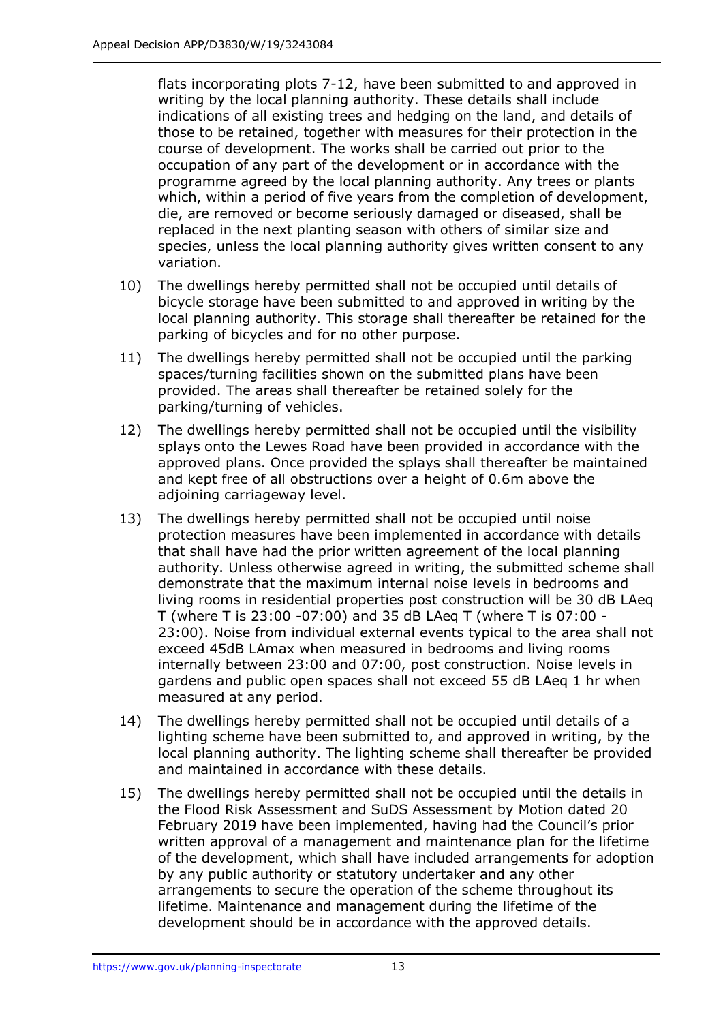flats incorporating plots 7-12, have been submitted to and approved in writing by the local planning authority. These details shall include indications of all existing trees and hedging on the land, and details of those to be retained, together with measures for their protection in the course of development. The works shall be carried out prior to the occupation of any part of the development or in accordance with the programme agreed by the local planning authority. Any trees or plants which, within a period of five years from the completion of development, die, are removed or become seriously damaged or diseased, shall be replaced in the next planting season with others of similar size and species, unless the local planning authority gives written consent to any variation.

- 10) The dwellings hereby permitted shall not be occupied until details of bicycle storage have been submitted to and approved in writing by the local planning authority. This storage shall thereafter be retained for the parking of bicycles and for no other purpose.
- 11) The dwellings hereby permitted shall not be occupied until the parking spaces/turning facilities shown on the submitted plans have been provided. The areas shall thereafter be retained solely for the parking/turning of vehicles.
- 12) The dwellings hereby permitted shall not be occupied until the visibility splays onto the Lewes Road have been provided in accordance with the approved plans. Once provided the splays shall thereafter be maintained and kept free of all obstructions over a height of 0.6m above the adjoining carriageway level.
- 13) The dwellings hereby permitted shall not be occupied until noise protection measures have been implemented in accordance with details that shall have had the prior written agreement of the local planning authority. Unless otherwise agreed in writing, the submitted scheme shall demonstrate that the maximum internal noise levels in bedrooms and living rooms in residential properties post construction will be 30 dB LAeq T (where T is 23:00 -07:00) and 35 dB LAeq T (where T is 07:00 - 23:00). Noise from individual external events typical to the area shall not exceed 45dB LAmax when measured in bedrooms and living rooms internally between 23:00 and 07:00, post construction. Noise levels in gardens and public open spaces shall not exceed 55 dB LAeq 1 hr when measured at any period.
- 14) The dwellings hereby permitted shall not be occupied until details of a lighting scheme have been submitted to, and approved in writing, by the local planning authority. The lighting scheme shall thereafter be provided and maintained in accordance with these details.
- 15) The dwellings hereby permitted shall not be occupied until the details in the Flood Risk Assessment and SuDS Assessment by Motion dated 20 February 2019 have been implemented, having had the Council's prior written approval of a management and maintenance plan for the lifetime of the development, which shall have included arrangements for adoption by any public authority or statutory undertaker and any other arrangements to secure the operation of the scheme throughout its lifetime. Maintenance and management during the lifetime of the development should be in accordance with the approved details.